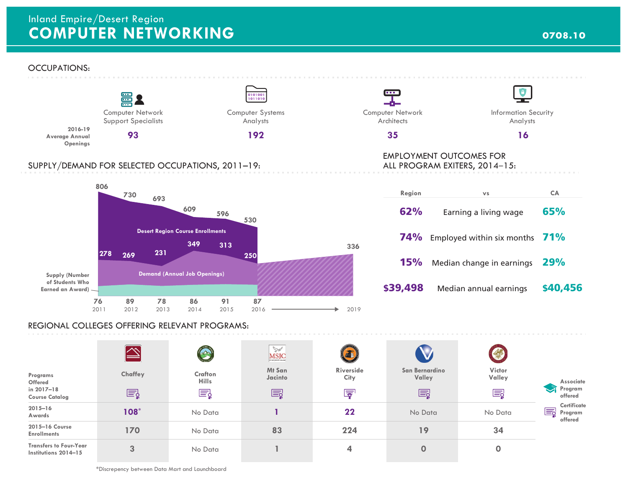# **COMPUTER NETWORKING** *COMPUTER NETWORKING* Inland Empire/Desert Region

## OCCUPATIONS:



\*Discrepency between Data Mart and Launchboard